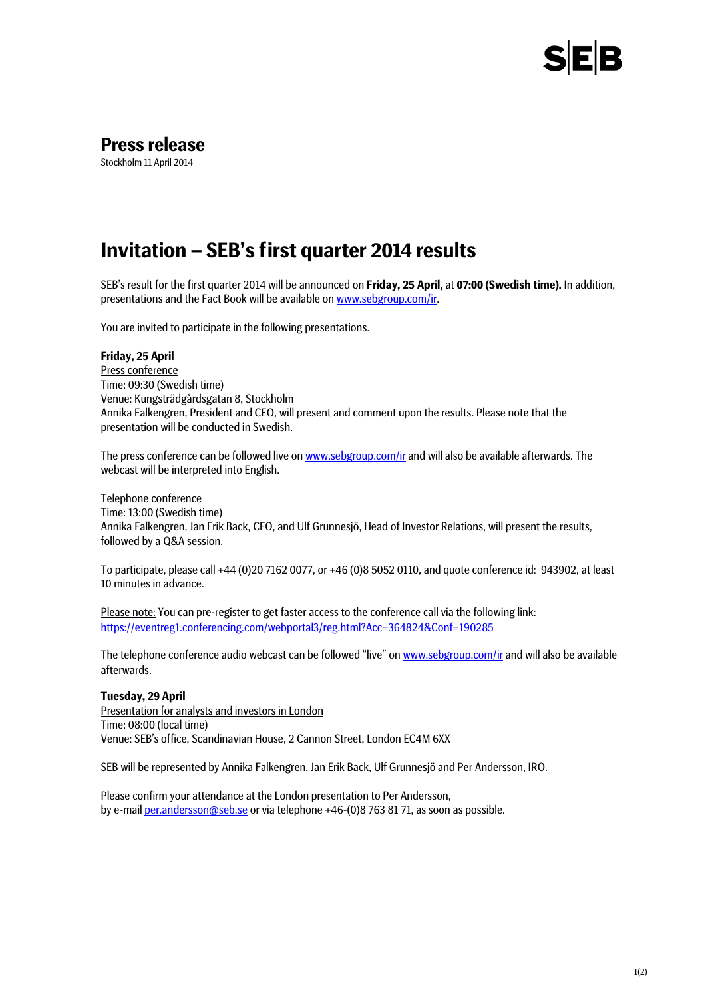

## **Press release**

Stockholm 11 April 2014

# **Invitation – SEB's first quarter 2014 results**

SEB's result for the first quarter 2014 will be announced on **Friday, 25 April,** at **07:00 (Swedish time).** In addition, presentations and the Fact Book will be available on [www.sebgroup.com/ir.](http://www.sebgroup.com/ir) 

You are invited to participate in the following presentations.

### **Friday, 25 April**

Press conference Time: 09:30 (Swedish time) Venue: Kungsträdgårdsgatan 8, Stockholm Annika Falkengren, President and CEO, will present and comment upon the results. Please note that the presentation will be conducted in Swedish.

The press conference can be followed live o[n www.sebgroup.com/ir](http://www.sebgroup.com/ir) and will also be available afterwards. The webcast will be interpreted into English.

Telephone conference

Time: 13:00 (Swedish time) Annika Falkengren, Jan Erik Back, CFO, and Ulf Grunnesjö, Head of Investor Relations, will present the results, followed by a Q&A session.

To participate, please call +44 (0)20 7162 0077, or +46 (0)8 5052 0110, and quote conference id: 943902, at least 10 minutes in advance.

Please note: You can pre-register to get faster access to the conference call via the following link: <https://eventreg1.conferencing.com/webportal3/reg.html?Acc=364824&Conf=190285>

The telephone conference audio webcast can be followed "live" on [www.sebgroup.com/ir](http://www.sebgroup.com/ir) and will also be available afterwards.

#### **Tuesday, 29 April**

Presentation for analysts and investors in London Time: 08:00 (local time) Venue: SEB's office, Scandinavian House, 2 Cannon Street, London EC4M 6XX

SEB will be represented by Annika Falkengren, Jan Erik Back, Ulf Grunnesjö and Per Andersson, IRO.

Please confirm your attendance at the London presentation to Per Andersson, by e-mai[l per.andersson@seb.se](mailto:per.andersson@seb.se) or via telephone +46-(0)8 763 81 71, as soon as possible.